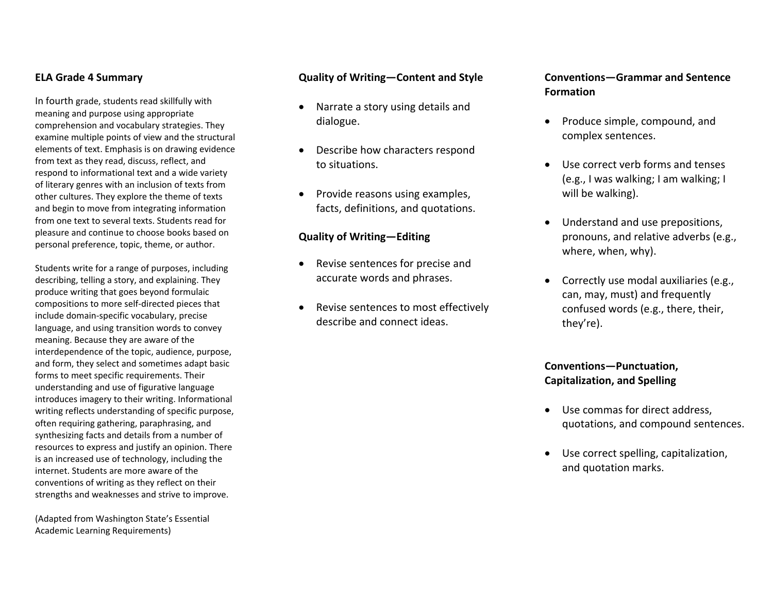### **ELA Grade 4 Summary**

In fourth grade, students read skillfully with meaning and purpose using appropriate comprehension and vocabulary strategies. They examine multiple points of view and the structural elements of text. Emphasis is on drawing evidence from text as they read, discuss, reflect, and respond to informational text and <sup>a</sup> wide variety of literary genres with an inclusion of texts from other cultures. They explore the theme of texts and begin to move from integrating information from one text to several texts. Students read for pleasure and continue to choose books based on personal preference, topic, theme, or author.

Students write for <sup>a</sup> range of purposes, including describing, telling <sup>a</sup> story, and explaining. They produce writing that goes beyond formulaic compositions to more self‐directed pieces that include domain‐specific vocabulary, precise language, and using transition words to convey meaning. Because they are aware of the interdependence of the topic, audience, purpose, and form, they select and sometimes adapt basic forms to meet specific requirements. Their understanding and use of figurative language introduces imagery to their writing. Informational writing reflects understanding of specific purpose, often requiring gathering, paraphrasing, and synthesizing facts and details from <sup>a</sup> number of resources to express and justify an opinion. There is an increased use of technology, including the internet. Students are more aware of the conventions of writing as they reflect on their strengths and weaknesses and strive to improve.

(Adapted from Washington State's Essential Academic Learning Requirements)

### **Quality of Writing—Content and Style**

- $\bullet$  Narrate <sup>a</sup> story using details and dialogue.
- $\bullet$  Describe how characters respond to situations.
- $\bullet$ • Provide reasons using examples, facts, definitions, and quotations.

#### **Quality of Writing—Editing**

- Revise sentences for precise and accurate words and phrases.
- $\bullet$  Revise sentences to most effectively describe and connect ideas.

### **Conventions—Grammar and Sentence Formation**

- Produce simple, compound, and complex sentences.
- Use correct verb forms and tenses (e.g., I was walking; I am walking; I will be walking).
- Understand and use prepositions, pronouns, and relative adverbs (e.g., where, when, why).
- Correctly use modal auxiliaries (e.g., can, may, must) and frequently confused words (e.g., there, their, they're).

## **Conventions—Punctuation, Capitalization, and Spelling**

- Use commas for direct address, quotations, and compound sentences.
- Use correct spelling, capitalization, and quotation marks.